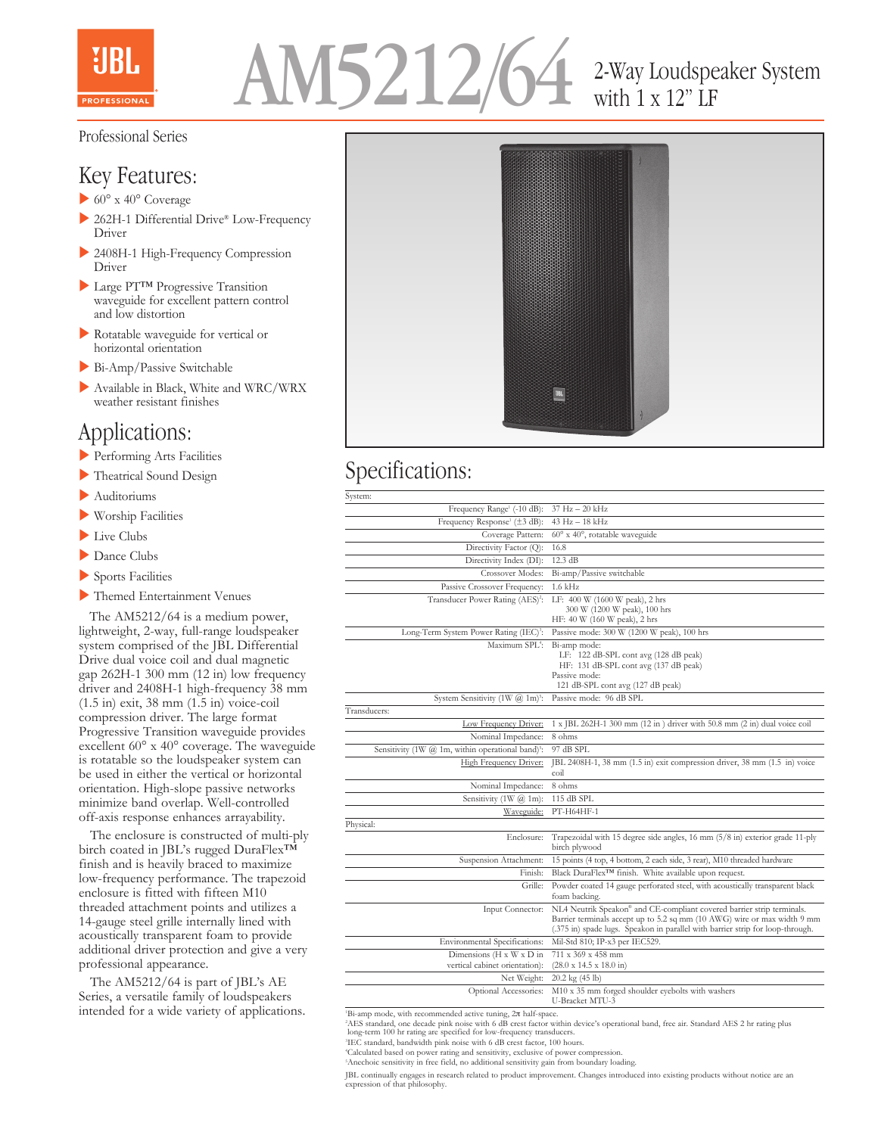



# with 1 x 12" LF

#### Professional Series

## Key Features:

- $\triangleright$  60° x 40° Coverage
- $\triangleright$  262H-1 Differential Drive® Low-Frequency Driver
- 2408H-1 High-Frequency Compression Driver
- ▶ Large PT™ Progressive Transition waveguide for excellent pattern control and low distortion
- **Rotatable waveguide for vertical or** horizontal orientation
- $\blacktriangleright$  Bi-Amp/Passive Switchable
- Available in Black, White and WRC/WRX weather resistant finishes

### Applications:

- **Performing Arts Facilities**
- $\blacktriangleright$  Theatrical Sound Design
- $\blacktriangleright$  Auditoriums
- $\blacktriangleright$  Worship Facilities
- $\blacktriangleright$  Live Clubs
- $\blacktriangleright$  Dance Clubs
- Sports Facilities
- **Themed Entertainment Venues**

 The AM5212/64 is a medium power, lightweight, 2-way, full-range loudspeaker system comprised of the JBL Differential Drive dual voice coil and dual magnetic gap 262H-1 300 mm (12 in) low frequency driver and 2408H-1 high-frequency 38 mm (1.5 in) exit, 38 mm (1.5 in) voice-coil compression driver. The large format Progressive Transition waveguide provides excellent 60° x 40° coverage. The waveguide is rotatable so the loudspeaker system can be used in either the vertical or horizontal orientation. High-slope passive networks minimize band overlap. Well-controlled off-axis response enhances arrayability.

 The enclosure is constructed of multi-ply birch coated in JBL's rugged DuraFlex<sup>TM</sup> finish and is heavily braced to maximize low-frequency performance. The trapezoid enclosure is fitted with fifteen M10 threaded attachment points and utilizes a 14-gauge steel grille internally lined with acoustically transparent foam to provide additional driver protection and give a very professional appearance.

 The AM5212/64 is part of JBL's AE Series, a versatile family of loudspeakers intended for a wide variety of applications.



## Specifications:

| System:                                                       |                                                                                                                                                                                                                                      |
|---------------------------------------------------------------|--------------------------------------------------------------------------------------------------------------------------------------------------------------------------------------------------------------------------------------|
| Frequency Range <sup>1</sup> (-10 dB):                        | $37 \text{ Hz} - 20 \text{ kHz}$                                                                                                                                                                                                     |
| Frequency Response <sup><math>\pm</math></sup> ( $\pm$ 3 dB): | 43 Hz - 18 kHz                                                                                                                                                                                                                       |
| Coverage Pattern:                                             | $60^{\circ}$ x $40^{\circ}$ , rotatable waveguide                                                                                                                                                                                    |
| Directivity Factor (Q):                                       | 16.8                                                                                                                                                                                                                                 |
| Directivity Index (DI):                                       | $12.3 \text{ dB}$                                                                                                                                                                                                                    |
| Crossover Modes:                                              | Bi-amp/Passive switchable                                                                                                                                                                                                            |
| Passive Crossover Frequency:                                  | $1.6$ kHz                                                                                                                                                                                                                            |
| Transducer Power Rating (AES) <sup>2</sup> :                  | LF: 400 W (1600 W peak), 2 hrs<br>300 W (1200 W peak), 100 hrs<br>HF: 40 W (160 W peak), 2 hrs                                                                                                                                       |
| Long-Term System Power Rating (IEC) <sup>3</sup> :            | Passive mode: 300 W (1200 W peak), 100 hrs                                                                                                                                                                                           |
| Maximum SPL <sup>4</sup> :                                    | Bi-amp mode:<br>LF: $122$ dB-SPL cont avg (128 dB peak)<br>HF: 131 dB-SPL cont avg (137 dB peak)<br>Passive mode:<br>121 dB-SPL cont avg (127 dB peak)                                                                               |
| System Sensitivity $(1W \ (\overline{a}) 1m)^{3}$ :           | Passive mode: 96 dB SPL                                                                                                                                                                                                              |
| Transducers:                                                  |                                                                                                                                                                                                                                      |
| Low Frequency Driver:                                         | 1 x JBL 262H-1 300 mm (12 in) driver with 50.8 mm (2 in) dual voice coil                                                                                                                                                             |
| Nominal Impedance:                                            | 8 ohms                                                                                                                                                                                                                               |
| Sensitivity (1W @ 1m, within operational band) <sup>3</sup> : | 97 dB SPL                                                                                                                                                                                                                            |
| <b>High Frequency Driver:</b>                                 | JBL 2408H-1, 38 mm (1.5 in) exit compression driver, 38 mm (1.5 in) voice<br>coil                                                                                                                                                    |
| Nominal Impedance:                                            | 8 ohms                                                                                                                                                                                                                               |
| Sensitivity $(1W \ (a) 1m)$ :                                 | 115 dB SPL                                                                                                                                                                                                                           |
| Waveguide:                                                    | PT-H64HF-1                                                                                                                                                                                                                           |
| Physical:                                                     |                                                                                                                                                                                                                                      |
| Enclosure:                                                    | Trapezoidal with 15 degree side angles, 16 mm (5/8 in) exterior grade 11-ply<br>birch plywood                                                                                                                                        |
| Suspension Attachment:                                        | 15 points (4 top, 4 bottom, 2 each side, 3 rear), M10 threaded hardware                                                                                                                                                              |
| Finish:                                                       | Black DuraFlex <sup>TM</sup> finish. White available upon request.                                                                                                                                                                   |
| Grille:                                                       | Powder coated 14 gauge perforated steel, with acoustically transparent black<br>foam backing.                                                                                                                                        |
| Input Connector:                                              | NL4 Neutrik Speakon® and CE-compliant covered barrier strip terminals.<br>Barrier terminals accept up to 5.2 sq mm (10 AWG) wire or max width 9 mm<br>(.375 in) spade lugs. Speakon in parallel with barrier strip for loop-through. |
| Environmental Specifications:                                 | Mil-Std 810; IP-x3 per IEC529.                                                                                                                                                                                                       |
| Dimensions (H x W x D in<br>vertical cabinet orientation):    | 711 x 369 x 458 mm<br>$(28.0 \times 14.5 \times 18.0 \text{ in})$                                                                                                                                                                    |
| Net Weight:                                                   | 20.2 kg (45 lb)                                                                                                                                                                                                                      |
| Optional Accessories:                                         | M10 x 35 mm forged shoulder eyebolts with washers<br>U-Bracket MTU-3                                                                                                                                                                 |

1 Bi-amp mode, with recommended active tuning, 2π half-space.

2 AES standard, one decade pink noise with 6 dB crest factor within device's operational band, free air. Standard AES 2 hr rating plus long-term 100 hr rating are specified for low-frequency transducers.

3 IEC standard, bandwidth pink noise with 6 dB crest factor, 100 hours.

5 Anechoic sensitivity in free field, no additional sensitivity gain from boundary loading.

JBL continually engages in research related to product improvement. Changes introduced into existing products without notice are an expression of that philosophy.

<sup>4</sup> Calculated based on power rating and sensitivity, exclusive of power compression.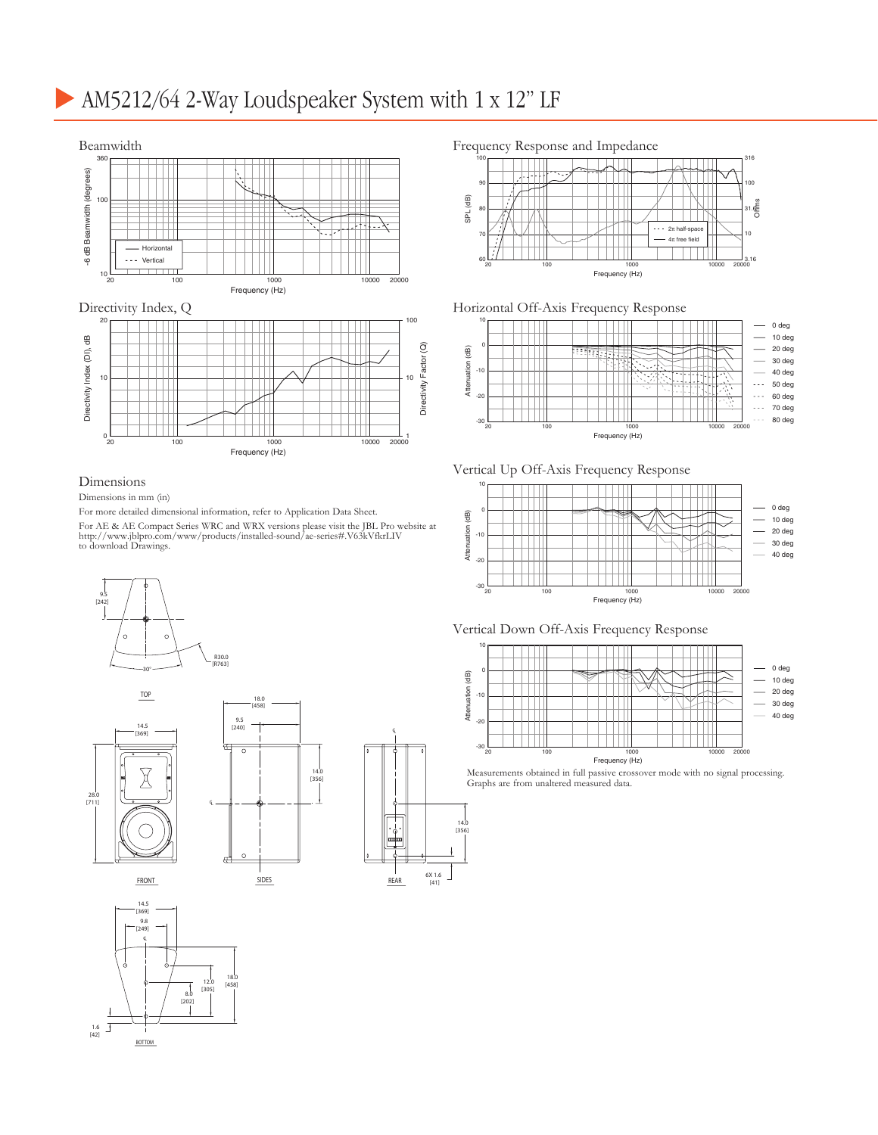# AM5212/64 2-Way Loudspeaker System with 1 x 12" LF



#### Dimensions

#### Dimensions in mm (in)

For more detailed dimensional information, refer to Application Data Sheet.

For AE & AE Compact Series WRC and WRX versions please visit the JBL Pro website at http://www.jblpro.com/www/products/installed-sound/ae-series#.V63kVfkrLIV to download Drawings.







#### Frequency Response and Impedance



#### Horizontal Off-Axis Frequency Response



#### Vertical Up Off-Axis Frequency Response



#### Vertical Down Off-Axis Frequency Response



Measurements obtained in full passive crossover mode with no signal processing. Graphs are from unaltered measured data.

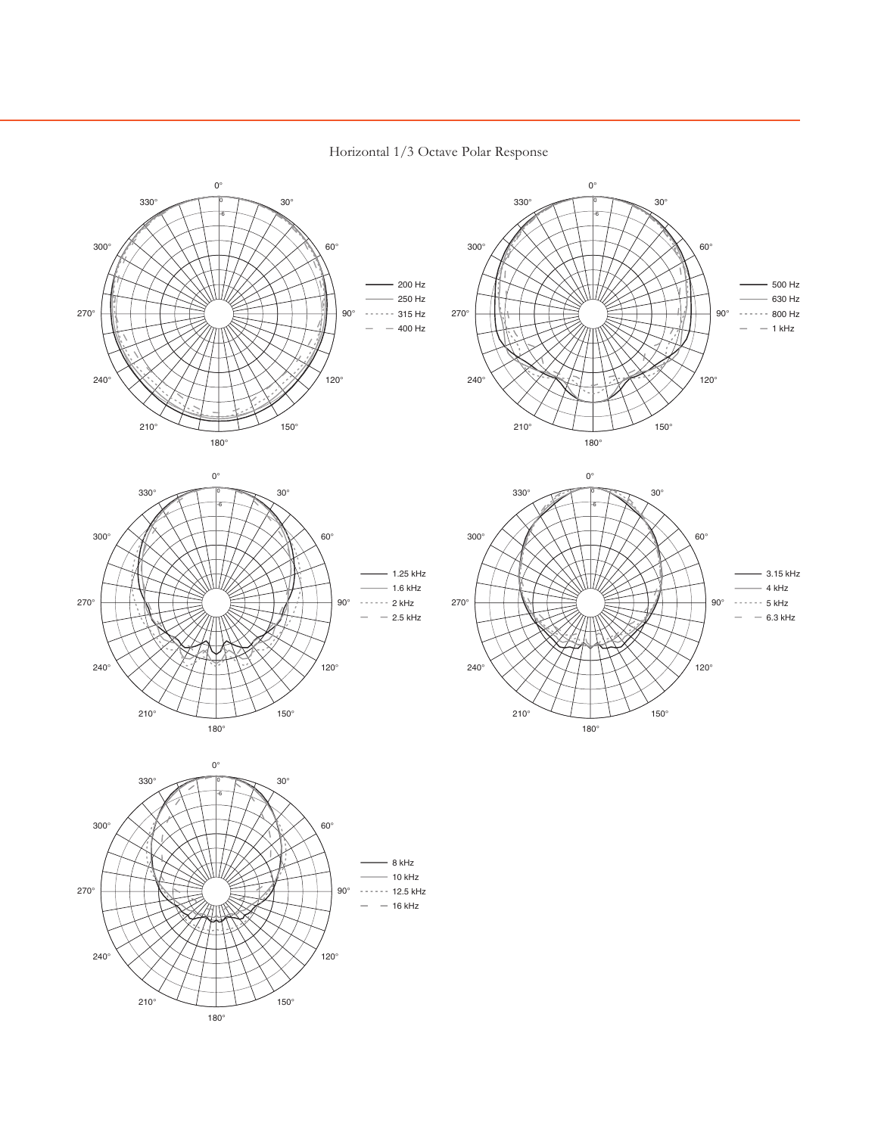